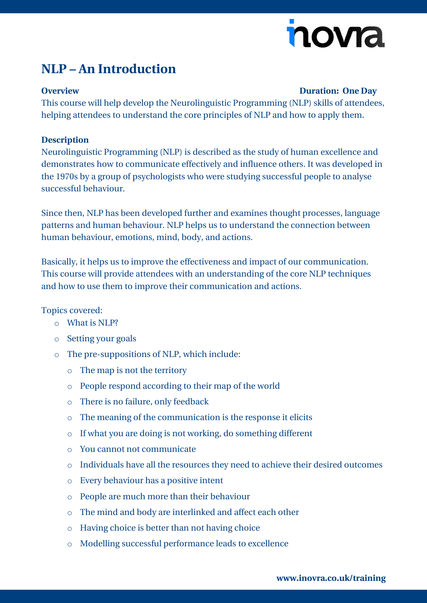# novia

### **NLP – An Introduction**

### **Overview Duration: One Day**

This course will help develop the Neurolinguistic Programming (NLP) skills of attendees, helping attendees to understand the core principles of NLP and how to apply them.

### **Description**

Neurolinguistic Programming (NLP) is described as the study of human excellence and demonstrates how to communicate effectively and influence others. It was developed in the 1970s by a group of psychologists who were studying successful people to analyse successful behaviour.

Since then, NLP has been developed further and examines thought processes, language patterns and human behaviour. NLP helps us to understand the connection between human behaviour, emotions, mind, body, and actions.

Basically, it helps us to improve the effectiveness and impact of our communication. This course will provide attendees with an understanding of the core NLP techniques and how to use them to improve their communication and actions.

### Topics covered:

- o What is NLP?
- o Setting your goals
- o The pre-suppositions of NLP, which include:
	- o The map is not the territory
	- o People respond according to their map of the world
	- o There is no failure, only feedback
	- o The meaning of the communication is the response it elicits
	- o If what you are doing is not working, do something different
	- o You cannot not communicate
	- o Individuals have all the resources they need to achieve their desired outcomes
	- o Every behaviour has a positive intent
	- o People are much more than their behaviour
	- o The mind and body are interlinked and affect each other
	- o Having choice is better than not having choice
	- o Modelling successful performance leads to excellence